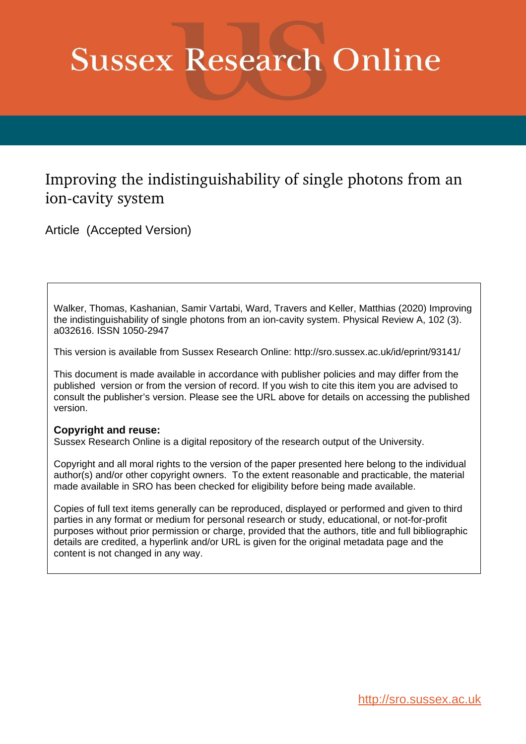# **Sussex Research Online**

## Improving the indistinguishability of single photons from an ion-cavity system

Article (Accepted Version)

Walker, Thomas, Kashanian, Samir Vartabi, Ward, Travers and Keller, Matthias (2020) Improving the indistinguishability of single photons from an ion-cavity system. Physical Review A, 102 (3). a032616. ISSN 1050-2947

This version is available from Sussex Research Online: http://sro.sussex.ac.uk/id/eprint/93141/

This document is made available in accordance with publisher policies and may differ from the published version or from the version of record. If you wish to cite this item you are advised to consult the publisher's version. Please see the URL above for details on accessing the published version.

### **Copyright and reuse:**

Sussex Research Online is a digital repository of the research output of the University.

Copyright and all moral rights to the version of the paper presented here belong to the individual author(s) and/or other copyright owners. To the extent reasonable and practicable, the material made available in SRO has been checked for eligibility before being made available.

Copies of full text items generally can be reproduced, displayed or performed and given to third parties in any format or medium for personal research or study, educational, or not-for-profit purposes without prior permission or charge, provided that the authors, title and full bibliographic details are credited, a hyperlink and/or URL is given for the original metadata page and the content is not changed in any way.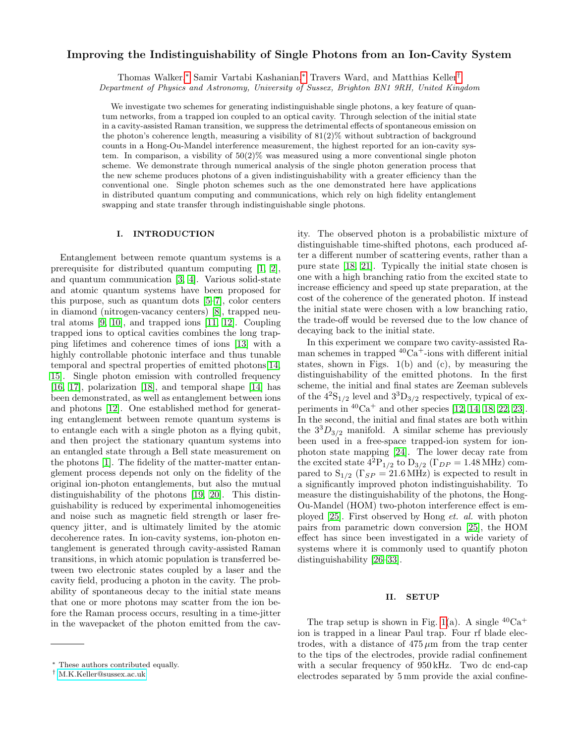#### Improving the Indistinguishability of Single Photons from an Ion-Cavity System

Thomas Walker,[∗](#page-1-0) Samir Vartabi Kashanian,[∗](#page-1-0) Travers Ward, and Matthias Keller[†](#page-1-1)

Department of Physics and Astronomy, University of Sussex, Brighton BN1 9RH, United Kingdom

We investigate two schemes for generating indistinguishable single photons, a key feature of quantum networks, from a trapped ion coupled to an optical cavity. Through selection of the initial state in a cavity-assisted Raman transition, we suppress the detrimental effects of spontaneous emission on the photon's coherence length, measuring a visibility of  $81(2)\%$  without subtraction of background counts in a Hong-Ou-Mandel interference measurement, the highest reported for an ion-cavity system. In comparison, a visbility of  $50(2)$ % was measured using a more conventional single photon scheme. We demonstrate through numerical analysis of the single photon generation process that the new scheme produces photons of a given indistinguishability with a greater efficiency than the conventional one. Single photon schemes such as the one demonstrated here have applications in distributed quantum computing and communications, which rely on high fidelity entanglement swapping and state transfer through indistinguishable single photons.

#### I. INTRODUCTION

Entanglement between remote quantum systems is a prerequisite for distributed quantum computing [\[1,](#page-6-0) [2\]](#page-6-1), and quantum communication [\[3,](#page-6-2) [4\]](#page-6-3). Various solid-state and atomic quantum systems have been proposed for this purpose, such as quantum dots [\[5–](#page-6-4)[7\]](#page-6-5), color centers in diamond (nitrogen-vacancy centers) [\[8\]](#page-6-6), trapped neutral atoms [\[9,](#page-6-7) [10\]](#page-6-8), and trapped ions [\[11,](#page-6-9) [12\]](#page-6-10). Coupling trapped ions to optical cavities combines the long trapping lifetimes and coherence times of ions [\[13\]](#page-6-11) with a highly controllable photonic interface and thus tunable temporal and spectral properties of emitted photons[\[14,](#page-6-12) [15\]](#page-6-13). Single photon emission with controlled frequency [\[16,](#page-6-14) [17\]](#page-6-15), polarization [\[18\]](#page-6-16), and temporal shape [\[14\]](#page-6-12) has been demonstrated, as well as entanglement between ions and photons [\[12\]](#page-6-10). One established method for generating entanglement between remote quantum systems is to entangle each with a single photon as a flying qubit, and then project the stationary quantum systems into an entangled state through a Bell state measurement on the photons [\[1\]](#page-6-0). The fidelity of the matter-matter entanglement process depends not only on the fidelity of the original ion-photon entanglements, but also the mutual distinguishability of the photons [\[19,](#page-6-17) [20\]](#page-6-18). This distinguishability is reduced by experimental inhomogeneities and noise such as magnetic field strength or laser frequency jitter, and is ultimately limited by the atomic decoherence rates. In ion-cavity systems, ion-photon entanglement is generated through cavity-assisted Raman transitions, in which atomic population is transferred between two electronic states coupled by a laser and the cavity field, producing a photon in the cavity. The probability of spontaneous decay to the initial state means that one or more photons may scatter from the ion before the Raman process occurs, resulting in a time-jitter in the wavepacket of the photon emitted from the cavity. The observed photon is a probabilistic mixture of distinguishable time-shifted photons, each produced after a different number of scattering events, rather than a pure state [\[18,](#page-6-16) [21\]](#page-6-19). Typically the initial state chosen is one with a high branching ratio from the excited state to increase efficiency and speed up state preparation, at the cost of the coherence of the generated photon. If instead the initial state were chosen with a low branching ratio, the trade-off would be reversed due to the low chance of decaying back to the initial state.

In this experiment we compare two cavity-assisted Raman schemes in trapped  ${}^{40}Ca<sup>+</sup>$ -ions with different initial states, shown in Figs.  $1(b)$  and  $(c)$ , by measuring the distinguishability of the emitted photons. In the first scheme, the initial and final states are Zeeman sublevels of the  $4^{2}S_{1/2}$  level and  $3^{3}D_{3/2}$  respectively, typical of experiments in  ${}^{40}Ca<sup>+</sup>$  and other species [\[12,](#page-6-10) [14,](#page-6-12) [18,](#page-6-16) [22,](#page-6-20) [23\]](#page-6-21). In the second, the initial and final states are both within the  $3^{3}D_{3/2}$  manifold. A similar scheme has previously been used in a free-space trapped-ion system for ionphoton state mapping [\[24\]](#page-6-22). The lower decay rate from the excited state  $4^{2}P_{1/2}$  to  $D_{3/2}$  ( $\Gamma_{DP} = 1.48$  MHz) compared to  $S_{1/2}$  ( $\Gamma_{SP} = 21.6 \text{ MHz}$ ) is expected to result in a significantly improved photon indistinguishability. To measure the distinguishability of the photons, the Hong-Ou-Mandel (HOM) two-photon interference effect is employed [\[25\]](#page-6-23). First observed by Hong et. al. with photon pairs from parametric down conversion [\[25\]](#page-6-23), the HOM effect has since been investigated in a wide variety of systems where it is commonly used to quantify photon distinguishability [\[26–](#page-6-24)[33\]](#page-6-25).

#### II. SETUP

The trap setup is shown in Fig. [1\(](#page-2-0)a). A single  ${}^{40}Ca^+$ ion is trapped in a linear Paul trap. Four rf blade electrodes, with a distance of  $475 \mu m$  from the trap center to the tips of the electrodes, provide radial confinement with a secular frequency of 950 kHz. Two dc end-cap electrodes separated by 5 mm provide the axial confine-

<span id="page-1-0"></span><sup>∗</sup> These authors contributed equally.

<span id="page-1-1"></span><sup>†</sup> [M.K.Keller@sussex.ac.uk](mailto:M.K.Keller@sussex.ac.uk)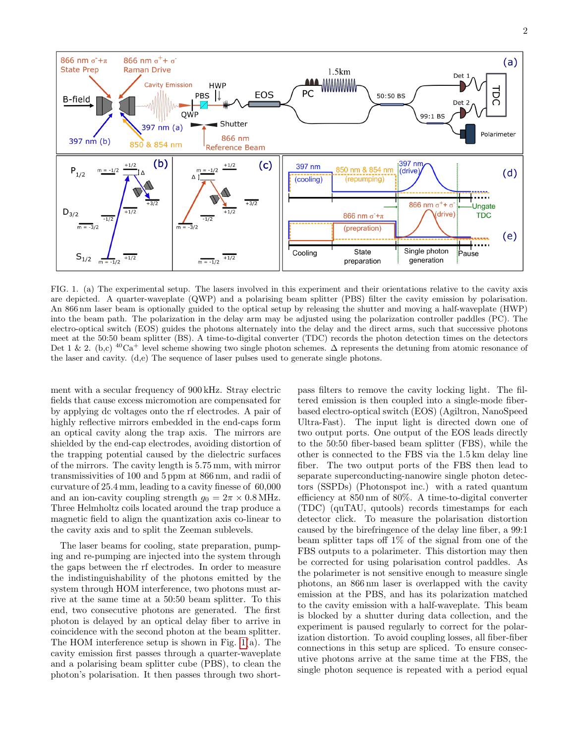

<span id="page-2-0"></span>FIG. 1. (a) The experimental setup. The lasers involved in this experiment and their orientations relative to the cavity axis are depicted. A quarter-waveplate (QWP) and a polarising beam splitter (PBS) filter the cavity emission by polarisation. An 866 nm laser beam is optionally guided to the optical setup by releasing the shutter and moving a half-waveplate (HWP) into the beam path. The polarization in the delay arm may be adjusted using the polarization controller paddles (PC). The electro-optical switch (EOS) guides the photons alternately into the delay and the direct arms, such that successive photons meet at the 50:50 beam splitter (BS). A time-to-digital converter (TDC) records the photon detection times on the detectors Det 1 & 2. (b,c) <sup>40</sup>Ca<sup>+</sup> level scheme showing two single photon schemes.  $\Delta$  represents the detuning from atomic resonance of the laser and cavity. (d,e) The sequence of laser pulses used to generate single photons.

ment with a secular frequency of 900 kHz. Stray electric fields that cause excess micromotion are compensated for by applying dc voltages onto the rf electrodes. A pair of highly reflective mirrors embedded in the end-caps form an optical cavity along the trap axis. The mirrors are shielded by the end-cap electrodes, avoiding distortion of the trapping potential caused by the dielectric surfaces of the mirrors. The cavity length is 5.75 mm, with mirror transmissivities of 100 and 5 ppm at 866 nm, and radii of curvature of 25.4 mm, leading to a cavity finesse of 60,000 and an ion-cavity coupling strength  $g_0 = 2\pi \times 0.8 \text{ MHz}$ . Three Helmholtz coils located around the trap produce a magnetic field to align the quantization axis co-linear to the cavity axis and to split the Zeeman sublevels.

The laser beams for cooling, state preparation, pumping and re-pumping are injected into the system through the gaps between the rf electrodes. In order to measure the indistinguishability of the photons emitted by the system through HOM interference, two photons must arrive at the same time at a 50:50 beam splitter. To this end, two consecutive photons are generated. The first photon is delayed by an optical delay fiber to arrive in coincidence with the second photon at the beam splitter. The HOM interference setup is shown in Fig. [1\(](#page-2-0)a). The cavity emission first passes through a quarter-waveplate and a polarising beam splitter cube (PBS), to clean the photon's polarisation. It then passes through two short-

pass filters to remove the cavity locking light. The filtered emission is then coupled into a single-mode fiberbased electro-optical switch (EOS) (Agiltron, NanoSpeed Ultra-Fast). The input light is directed down one of two output ports. One output of the EOS leads directly to the 50:50 fiber-based beam splitter (FBS), while the other is connected to the FBS via the 1.5 km delay line fiber. The two output ports of the FBS then lead to separate superconducting-nanowire single photon detectors (SSPDs) (Photonspot inc.) with a rated quantum efficiency at 850 nm of 80%. A time-to-digital converter (TDC) (quTAU, qutools) records timestamps for each detector click. To measure the polarisation distortion caused by the birefringence of the delay line fiber, a 99:1 beam splitter taps off 1% of the signal from one of the FBS outputs to a polarimeter. This distortion may then be corrected for using polarisation control paddles. As the polarimeter is not sensitive enough to measure single photons, an 866 nm laser is overlapped with the cavity emission at the PBS, and has its polarization matched to the cavity emission with a half-waveplate. This beam is blocked by a shutter during data collection, and the experiment is paused regularly to correct for the polarization distortion. To avoid coupling losses, all fiber-fiber connections in this setup are spliced. To ensure consecutive photons arrive at the same time at the FBS, the single photon sequence is repeated with a period equal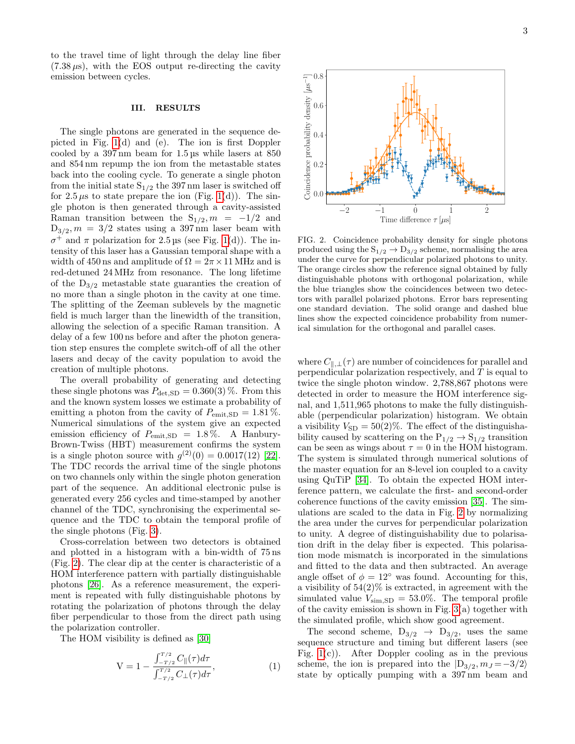to the travel time of light through the delay line fiber  $(7.38 \,\mu s)$ , with the EOS output re-directing the cavity emission between cycles.

#### III. RESULTS

The single photons are generated in the sequence depicted in Fig. [1\(](#page-2-0)d) and (e). The ion is first Doppler cooled by a 397 nm beam for 1.5 µs while lasers at 850 and 854 nm repump the ion from the metastable states back into the cooling cycle. To generate a single photon from the initial state  $S_{1/2}$  the 397 nm laser is switched off for  $2.5 \mu s$  to state prepare the ion (Fig. [1\(](#page-2-0)d)). The single photon is then generated through a cavity-assisted Raman transition between the  $S_{1/2}$ ,  $m = -1/2$  and  $D_{3/2}, m = 3/2$  states using a 397 nm laser beam with  $\sigma^+$  and π polarization for 2.5 μs (see Fig. [1\(](#page-2-0)d)). The intensity of this laser has a Gaussian temporal shape with a width of 450 ns and amplitude of  $\Omega = 2\pi \times 11$  MHz and is red-detuned 24 MHz from resonance. The long lifetime of the  $D_{3/2}$  metastable state guaranties the creation of no more than a single photon in the cavity at one time. The splitting of the Zeeman sublevels by the magnetic field is much larger than the linewidth of the transition, allowing the selection of a specific Raman transition. A delay of a few 100 ns before and after the photon generation step ensures the complete switch-off of all the other lasers and decay of the cavity population to avoid the creation of multiple photons.

The overall probability of generating and detecting these single photons was  $P_{\text{det,SD}} = 0.360(3)\%$ . From this and the known system losses we estimate a probability of emitting a photon from the cavity of  $P_{\text{emit,SD}} = 1.81\%$ . Numerical simulations of the system give an expected emission efficiency of  $P_{\text{emit,SD}} = 1.8\%$ . A Hanbury-Brown-Twiss (HBT) measurement confirms the system is a single photon source with  $g^{(2)}(0) = 0.0017(12)$  [\[22\]](#page-6-20). The TDC records the arrival time of the single photons on two channels only within the single photon generation part of the sequence. An additional electronic pulse is generated every 256 cycles and time-stamped by another channel of the TDC, synchronising the experimental sequence and the TDC to obtain the temporal profile of the single photons (Fig. [3\)](#page-4-0).

Cross-correlation between two detectors is obtained and plotted in a histogram with a bin-width of 75 ns (Fig. [2\)](#page-3-0). The clear dip at the center is characteristic of a HOM interference pattern with partially distinguishable photons [\[26\]](#page-6-24). As a reference measurement, the experiment is repeated with fully distinguishable photons by rotating the polarization of photons through the delay fiber perpendicular to those from the direct path using the polarization controller.

The HOM visibility is defined as [\[30\]](#page-6-26)

$$
V = 1 - \frac{\int_{-T/2}^{T/2} C_{\parallel}(\tau) d\tau}{\int_{-T/2}^{T/2} C_{\perp}(\tau) d\tau},
$$
\n(1)



<span id="page-3-0"></span>FIG. 2. Coincidence probability density for single photons produced using the  $S_{1/2} \rightarrow D_{3/2}$  scheme, normalising the area under the curve for perpendicular polarized photons to unity. The orange circles show the reference signal obtained by fully distinguishable photons with orthogonal polarization, while the blue triangles show the coincidences between two detectors with parallel polarized photons. Error bars representing one standard deviation. The solid orange and dashed blue lines show the expected coincidence probability from numerical simulation for the orthogonal and parallel cases.

where  $C_{\parallel,\perp}(\tau)$  are number of coincidences for parallel and perpendicular polarization respectively, and  $T$  is equal to twice the single photon window. 2,788,867 photons were detected in order to measure the HOM interference signal, and 1,511,965 photons to make the fully distinguishable (perpendicular polarization) histogram. We obtain a visibility  $V_{SD} = 50(2)\%$ . The effect of the distinguishability caused by scattering on the  $P_{1/2} \rightarrow S_{1/2}$  transition can be seen as wings about  $\tau = 0$  in the HOM histogram. The system is simulated through numerical solutions of the master equation for an 8-level ion coupled to a cavity using QuTiP [\[34\]](#page-6-27). To obtain the expected HOM interference pattern, we calculate the first- and second-order coherence functions of the cavity emission [\[35\]](#page-6-28). The simulations are scaled to the data in Fig. [2](#page-3-0) by normalizing the area under the curves for perpendicular polarization to unity. A degree of distinguishability due to polarisation drift in the delay fiber is expected. This polarisation mode mismatch is incorporated in the simulations and fitted to the data and then subtracted. An average angle offset of  $\phi = 12^{\circ}$  was found. Accounting for this, a visibility of  $54(2)\%$  is extracted, in agreement with the simulated value  $V_{\text{sim,SD}} = 53.0\%$ . The temporal profile of the cavity emission is shown in Fig.  $3(a)$  together with the simulated profile, which show good agreement.

The second scheme,  $D_{3/2} \rightarrow D_{3/2}$ , uses the same sequence structure and timing but different lasers (see Fig.  $1(c)$ ). After Doppler cooling as in the previous scheme, the ion is prepared into the  $|D_{3/2}, m_J = -3/2\rangle$ state by optically pumping with a 397 nm beam and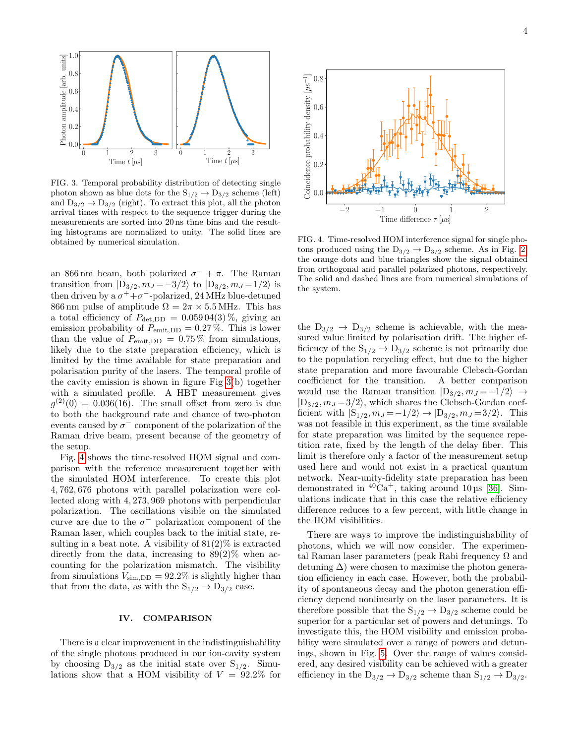

<span id="page-4-0"></span>FIG. 3. Temporal probability distribution of detecting single photon shown as blue dots for the  $S_{1/2} \rightarrow D_{3/2}$  scheme (left) and  $D_{3/2} \rightarrow D_{3/2}$  (right). To extract this plot, all the photon arrival times with respect to the sequence trigger during the measurements are sorted into 20 ns time bins and the resulting histograms are normalized to unity. The solid lines are obtained by numerical simulation.

an 866 nm beam, both polarized  $\sigma^- + \pi$ . The Raman transition from  $|D_{3/2}, m_J = -3/2\rangle$  to  $|D_{3/2}, m_J = 1/2\rangle$  is then driven by a  $\sigma^+ + \sigma^-$ -polarized, 24 MHz blue-detuned 866 nm pulse of amplitude  $\Omega = 2\pi \times 5.5$  MHz. This has a total efficiency of  $P_{\text{det,DD}} = 0.05904(3)\%$ , giving an emission probability of  $P_{\text{emit,DD}} = 0.27\%$ . This is lower than the value of  $P_{\text{emit},DD} = 0.75\%$  from simulations, likely due to the state preparation efficiency, which is limited by the time available for state preparation and polarisation purity of the lasers. The temporal profile of the cavity emission is shown in figure Fig [3\(](#page-4-0)b) together with a simulated profile. A HBT measurement gives  $g^{(2)}(0) = 0.036(16)$ . The small offset from zero is due to both the background rate and chance of two-photon events caused by  $\sigma^-$  component of the polarization of the Raman drive beam, present because of the geometry of the setup.

Fig. [4](#page-4-1) shows the time-resolved HOM signal and comparison with the reference measurement together with the simulated HOM interference. To create this plot 4, 762, 676 photons with parallel polarization were collected along with 4, 273, 969 photons with perpendicular polarization. The oscillations visible on the simulated curve are due to the  $\sigma^-$  polarization component of the Raman laser, which couples back to the initial state, resulting in a beat note. A visibility of  $81(2)\%$  is extracted directly from the data, increasing to  $89(2)\%$  when accounting for the polarization mismatch. The visibility from simulations  $V_{\text{sim,DD}} = 92.2\%$  is slightly higher than that from the data, as with the  $S_{1/2} \rightarrow D_{3/2}$  case.

#### IV. COMPARISON

There is a clear improvement in the indistinguishability of the single photons produced in our ion-cavity system by choosing  $D_{3/2}$  as the initial state over  $S_{1/2}$ . Simulations show that a HOM visibility of  $V = 92.2\%$  for



<span id="page-4-1"></span>FIG. 4. Time-resolved HOM interference signal for single photons produced using the  $D_{3/2} \rightarrow D_{3/2}$  scheme. As in Fig. [2,](#page-3-0) the orange dots and blue triangles show the signal obtained from orthogonal and parallel polarized photons, respectively. The solid and dashed lines are from numerical simulations of the system.

the  $D_{3/2} \rightarrow D_{3/2}$  scheme is achievable, with the measured value limited by polarisation drift. The higher efficiency of the  $S_{1/2} \rightarrow D_{3/2}$  scheme is not primarily due to the population recycling effect, but due to the higher state preparation and more favourable Clebsch-Gordan coefficienct for the transition. A better comparison would use the Raman transition  $|D_{3/2}, m_J = -1/2\rangle \rightarrow$  $|D_{3/2}, m_J = 3/2\rangle$ , which shares the Clebsch-Gordan coefficient with  $|S_{1/2}, m_J = -1/2\rangle \rightarrow |D_{3/2}, m_J = 3/2\rangle$ . This was not feasible in this experiment, as the time available for state preparation was limited by the sequence repetition rate, fixed by the length of the delay fiber. This limit is therefore only a factor of the measurement setup used here and would not exist in a practical quantum network. Near-unity-fidelity state preparation has been demonstrated in  ${}^{40}Ca^+$ , taking around 10 us [\[36\]](#page-6-29). Simulations indicate that in this case the relative efficiency difference reduces to a few percent, with little change in the HOM visibilities.

There are ways to improve the indistinguishability of photons, which we will now consider. The experimental Raman laser parameters (peak Rabi frequency  $\Omega$  and detuning  $\Delta$ ) were chosen to maximise the photon generation efficiency in each case. However, both the probability of spontaneous decay and the photon generation efficiency depend nonlinearly on the laser parameters. It is therefore possible that the  $S_{1/2} \rightarrow D_{3/2}$  scheme could be superior for a particular set of powers and detunings. To investigate this, the HOM visibility and emission probability were simulated over a range of powers and detunings, shown in Fig. [5.](#page-5-0) Over the range of values considered, any desired visibility can be achieved with a greater efficiency in the  $D_{3/2} \rightarrow D_{3/2}$  scheme than  $S_{1/2} \rightarrow D_{3/2}$ .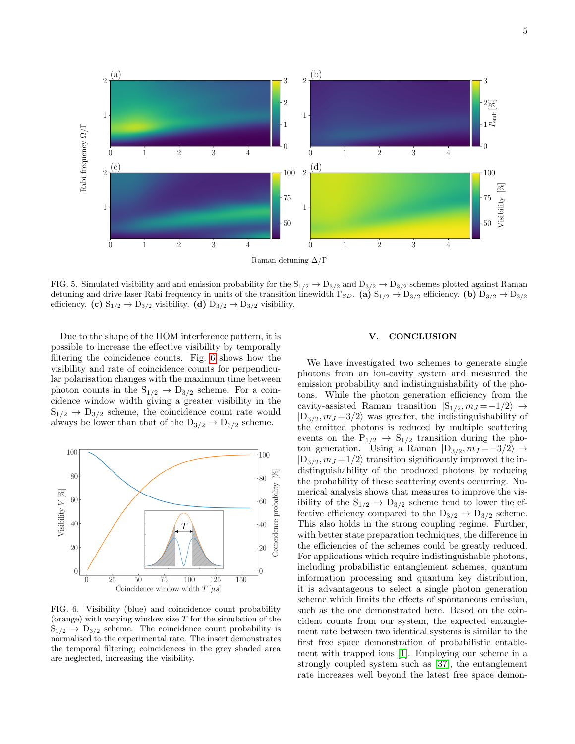

<span id="page-5-0"></span>FIG. 5. Simulated visibility and and emission probability for the  $S_{1/2} \rightarrow D_{3/2}$  and  $D_{3/2} \rightarrow D_{3/2}$  schemes plotted against Raman detuning and drive laser Rabi frequency in units of the transition linewidth  $\Gamma_{SD}$ . (a)  $S_{1/2} \rightarrow D_{3/2}$  efficiency. (b)  $D_{3/2} \rightarrow D_{3/2}$ efficiency. (c)  $S_{1/2} \rightarrow D_{3/2}$  visibility. (d)  $D_{3/2} \rightarrow D_{3/2}$  visibility.

Due to the shape of the HOM interference pattern, it is possible to increase the effective visibility by temporally filtering the coincidence counts. Fig. [6](#page-5-1) shows how the visibility and rate of coincidence counts for perpendicular polarisation changes with the maximum time between photon counts in the  $S_{1/2} \rightarrow D_{3/2}$  scheme. For a coincidence window width giving a greater visibility in the  $S_{1/2} \rightarrow D_{3/2}$  scheme, the coincidence count rate would always be lower than that of the  $D_{3/2} \rightarrow D_{3/2}$  scheme.



<span id="page-5-1"></span>FIG. 6. Visibility (blue) and coincidence count probability (orange) with varying window size  $T$  for the simulation of the  $S_{1/2} \rightarrow D_{3/2}$  scheme. The coincidence count probability is normalised to the experimental rate. The insert demonstrates the temporal filtering; coincidences in the grey shaded area are neglected, increasing the visibility.

#### V. CONCLUSION

We have investigated two schemes to generate single photons from an ion-cavity system and measured the emission probability and indistinguishability of the photons. While the photon generation efficiency from the cavity-assisted Raman transition  $|S_{1/2}, m_J = -1/2\rangle \rightarrow$  $|D_{3/2}, m_J = 3/2\rangle$  was greater, the indistinguishability of the emitted photons is reduced by multiple scattering events on the  $P_{1/2} \rightarrow S_{1/2}$  transition during the photon generation. Using a Raman  $|D_{3/2}, m_J = -3/2\rangle \rightarrow$  $|D_{3/2}, m_J = 1/2\rangle$  transition significantly improved the indistinguishability of the produced photons by reducing the probability of these scattering events occurring. Numerical analysis shows that measures to improve the visibility of the  $\mathrm{S}_{1/2}$   $\rightarrow$   $\mathrm{D}_{3/2}$  scheme tend to lower the effective efficiency compared to the  $D_{3/2} \rightarrow D_{3/2}$  scheme. This also holds in the strong coupling regime. Further, with better state preparation techniques, the difference in the efficiencies of the schemes could be greatly reduced. For applications which require indistinguishable photons, including probabilistic entanglement schemes, quantum information processing and quantum key distribution, it is advantageous to select a single photon generation scheme which limits the effects of spontaneous emission, such as the one demonstrated here. Based on the coincident counts from our system, the expected entanglement rate between two identical systems is similar to the first free space demonstration of probabilistic entablement with trapped ions [\[1\]](#page-6-0). Employing our scheme in a strongly coupled system such as [\[37\]](#page-6-30), the entanglement rate increases well beyond the latest free space demon